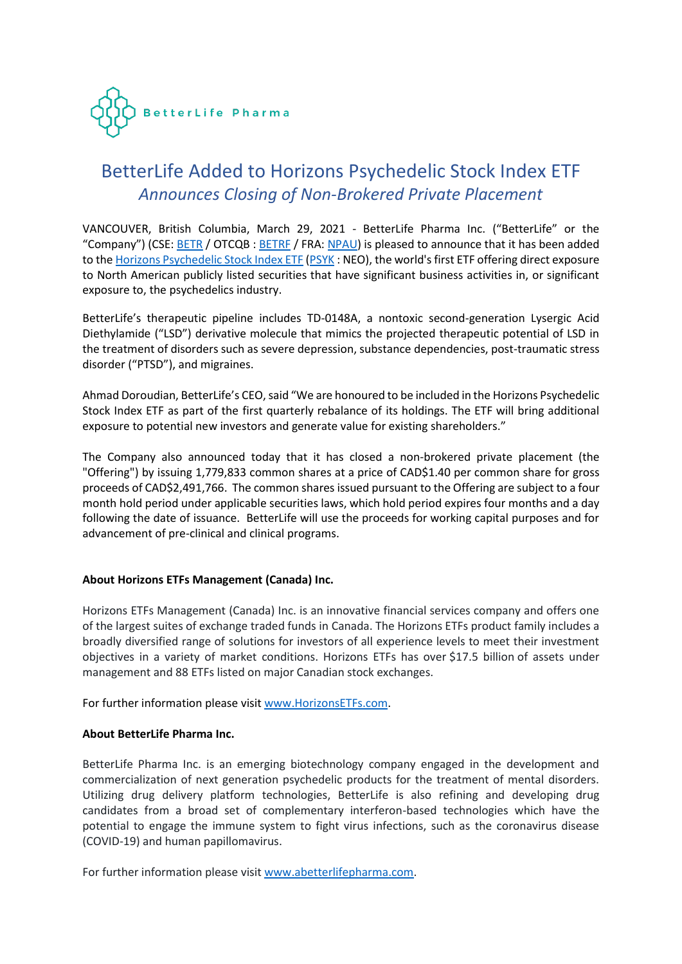

# BetterLife Added to Horizons Psychedelic Stock Index ETF *Announces Closing of Non-Brokered Private Placement*

VANCOUVER, British Columbia, March 29, 2021 - BetterLife Pharma Inc. ("BetterLife" or the "Company") (CSE: [BETR](https://thecse.com/en/listings/life-sciences/betterlife-pharma-inc) / OTCQB : [BETRF](https://www.otcmarkets.com/stock/BETRF/overview) / FRA[: NPAU\)](https://www.tradegate.de/orderbuch.php?lang=en&isin=CA08772P2026) is pleased to announce that it has been added to th[e Horizons Psychedelic Stock Index ETF](https://www.horizonsetfs.com/etf/psyk) [\(PSYK](https://www.neo.inc/en/live/security-activity/PSYK#!/market-depth) : NEO), the world's first ETF offering direct exposure to North American publicly listed securities that have significant business activities in, or significant exposure to, the psychedelics industry.

BetterLife's therapeutic pipeline includes TD-0148A, a nontoxic second-generation Lysergic Acid Diethylamide ("LSD") derivative molecule that mimics the projected therapeutic potential of LSD in the treatment of disorders such as severe depression, substance dependencies, post-traumatic stress disorder ("PTSD"), and migraines.

Ahmad Doroudian, BetterLife's CEO, said "We are honoured to be included in the Horizons Psychedelic Stock Index ETF as part of the first quarterly rebalance of its holdings. The ETF will bring additional exposure to potential new investors and generate value for existing shareholders."

The Company also announced today that it has closed a non-brokered private placement (the "Offering") by issuing 1,779,833 common shares at a price of CAD\$1.40 per common share for gross proceeds of CAD\$2,491,766. The common shares issued pursuant to the Offering are subject to a four month hold period under applicable securities laws, which hold period expires four months and a day following the date of issuance. BetterLife will use the proceeds for working capital purposes and for advancement of pre-clinical and clinical programs.

## **About Horizons ETFs Management (Canada) Inc.**

Horizons ETFs Management (Canada) Inc. is an innovative financial services company and offers one of the largest suites of exchange traded funds in Canada. The Horizons ETFs product family includes a broadly diversified range of solutions for investors of all experience levels to meet their investment objectives in a variety of market conditions. Horizons ETFs has over \$17.5 billion of assets under management and 88 ETFs listed on major Canadian stock exchanges.

For further information please visit [www.HorizonsETFs.com.](http://www.horizonsetfs.com/)

## **About BetterLife Pharma Inc.**

BetterLife Pharma Inc. is an emerging biotechnology company engaged in the development and commercialization of next generation psychedelic products for the treatment of mental disorders. Utilizing drug delivery platform technologies, BetterLife is also refining and developing drug candidates from a broad set of complementary interferon-based technologies which have the potential to engage the immune system to fight virus infections, such as the coronavirus disease (COVID-19) and human papillomavirus.

For further information please visit [www.abetterlifepharma.com.](file:///C:/Users/andre/AppData/Local/Temp/www.abetterlifepharma.com)